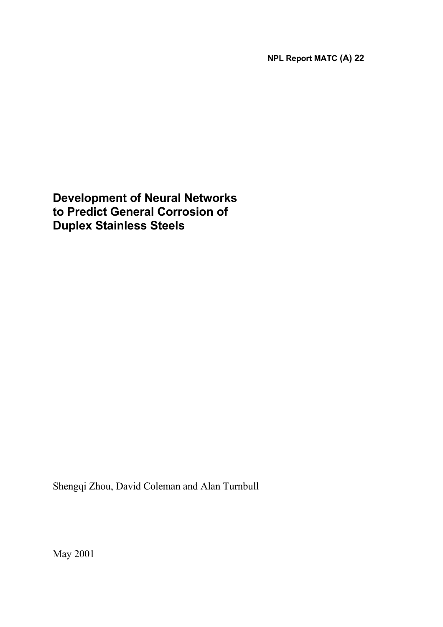**NPL Report MATC (A) 22** 

**Development of Neural Networks to Predict General Corrosion of Duplex Stainless Steels**

Shengqi Zhou, David Coleman and Alan Turnbull

May 2001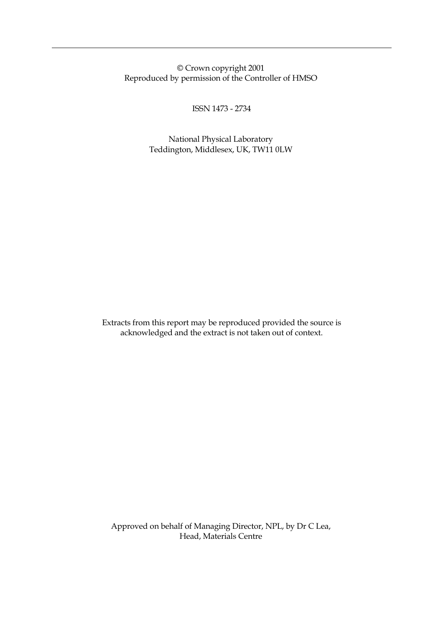© Crown copyright 2001 Reproduced by permission of the Controller of HMSO

ISSN 1473 - 2734

 National Physical Laboratory Teddington, Middlesex, UK, TW11 0LW

Extracts from this report may be reproduced provided the source is acknowledged and the extract is not taken out of context.

 Approved on behalf of Managing Director, NPL, by Dr C Lea, Head, Materials Centre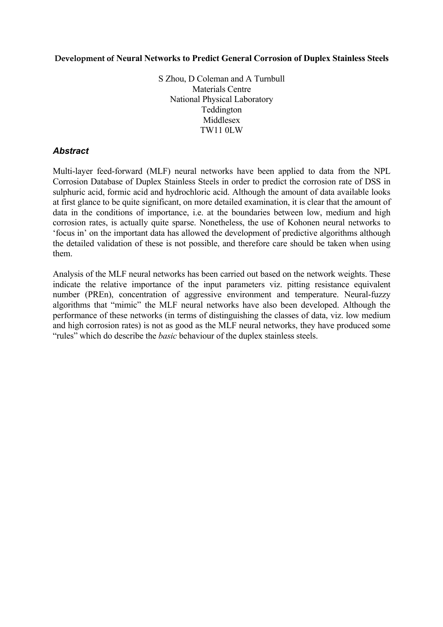### **Development of Neural Networks to Predict General Corrosion of Duplex Stainless Steels**

S Zhou, D Coleman and A Turnbull Materials Centre National Physical Laboratory Teddington Middlesex TW11 0LW

## *Abstract*

Multi-layer feed-forward (MLF) neural networks have been applied to data from the NPL Corrosion Database of Duplex Stainless Steels in order to predict the corrosion rate of DSS in sulphuric acid, formic acid and hydrochloric acid. Although the amount of data available looks at first glance to be quite significant, on more detailed examination, it is clear that the amount of data in the conditions of importance, i.e. at the boundaries between low, medium and high corrosion rates, is actually quite sparse. Nonetheless, the use of Kohonen neural networks to 'focus in' on the important data has allowed the development of predictive algorithms although the detailed validation of these is not possible, and therefore care should be taken when using them.

Analysis of the MLF neural networks has been carried out based on the network weights. These indicate the relative importance of the input parameters viz. pitting resistance equivalent number (PREn), concentration of aggressive environment and temperature. Neural-fuzzy algorithms that "mimic" the MLF neural networks have also been developed. Although the performance of these networks (in terms of distinguishing the classes of data, viz. low medium and high corrosion rates) is not as good as the MLF neural networks, they have produced some "rules" which do describe the *basic* behaviour of the duplex stainless steels.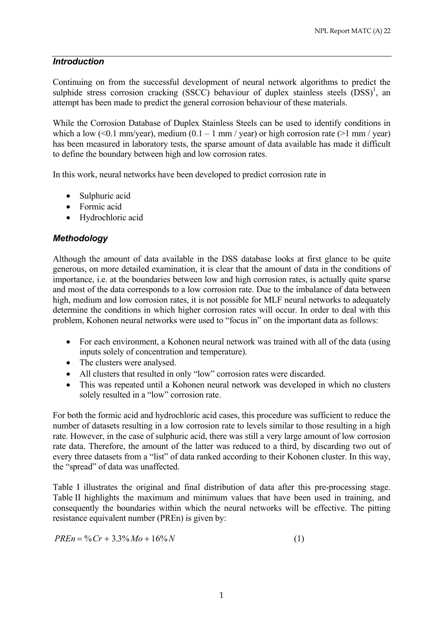## *Introduction*

Continuing on from the successful development of neural network algorithms to predict the sulphide stress corrosion cracking  $(SSCC)$  behaviour of duplex stainless steels  $(DSS)^1$ , an attempt has been made to predict the general corrosion behaviour of these materials.

While the Corrosion Database of Duplex Stainless Steels can be used to identify conditions in which a low (<0.1 mm/year), medium  $(0.1 - 1 \text{ mm} / \text{ year})$  or high corrosion rate (>1 mm/year) has been measured in laboratory tests, the sparse amount of data available has made it difficult to define the boundary between high and low corrosion rates.

In this work, neural networks have been developed to predict corrosion rate in

- Sulphuric acid
- Formic acid
- Hydrochloric acid

# *Methodology*

Although the amount of data available in the DSS database looks at first glance to be quite generous, on more detailed examination, it is clear that the amount of data in the conditions of importance, i.e. at the boundaries between low and high corrosion rates, is actually quite sparse and most of the data corresponds to a low corrosion rate. Due to the imbalance of data between high, medium and low corrosion rates, it is not possible for MLF neural networks to adequately determine the conditions in which higher corrosion rates will occur. In order to deal with this problem, Kohonen neural networks were used to "focus in" on the important data as follows:

- For each environment, a Kohonen neural network was trained with all of the data (using inputs solely of concentration and temperature).
- The clusters were analysed.
- All clusters that resulted in only "low" corrosion rates were discarded.
- This was repeated until a Kohonen neural network was developed in which no clusters solely resulted in a "low" corrosion rate.

For both the formic acid and hydrochloric acid cases, this procedure was sufficient to reduce the number of datasets resulting in a low corrosion rate to levels similar to those resulting in a high rate. However, in the case of sulphuric acid, there was still a very large amount of low corrosion rate data. Therefore, the amount of the latter was reduced to a third, by discarding two out of every three datasets from a "list" of data ranked according to their Kohonen cluster. In this way, the "spread" of data was unaffected.

Table I illustrates the original and final distribution of data after this pre-processing stage. Table II highlights the maximum and minimum values that have been used in training, and consequently the boundaries within which the neural networks will be effective. The pitting resistance equivalent number (PREn) is given by:

$$
PREn = \% Cr + 3.3\% Mo + 16\%N
$$
 (1)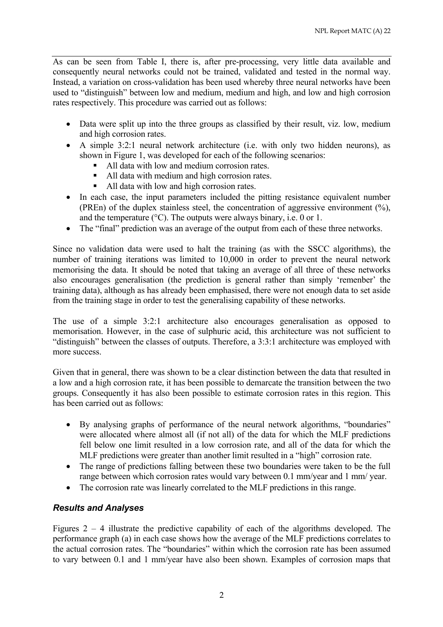As can be seen from Table I, there is, after pre-processing, very little data available and consequently neural networks could not be trained, validated and tested in the normal way. Instead, a variation on cross-validation has been used whereby three neural networks have been used to "distinguish" between low and medium, medium and high, and low and high corrosion rates respectively. This procedure was carried out as follows:

- Data were split up into the three groups as classified by their result, viz. low, medium and high corrosion rates.
- A simple 3:2:1 neural network architecture (i.e. with only two hidden neurons), as shown in Figure 1, was developed for each of the following scenarios:
	- All data with low and medium corrosion rates.
	- All data with medium and high corrosion rates
	- All data with low and high corrosion rates.
- In each case, the input parameters included the pitting resistance equivalent number (PREn) of the duplex stainless steel, the concentration of aggressive environment (%), and the temperature (°C). The outputs were always binary, i.e. 0 or 1.
- The "final" prediction was an average of the output from each of these three networks.

Since no validation data were used to halt the training (as with the SSCC algorithms), the number of training iterations was limited to 10,000 in order to prevent the neural network memorising the data. It should be noted that taking an average of all three of these networks also encourages generalisation (the prediction is general rather than simply 'remenber' the training data), although as has already been emphasised, there were not enough data to set aside from the training stage in order to test the generalising capability of these networks.

The use of a simple 3:2:1 architecture also encourages generalisation as opposed to memorisation. However, in the case of sulphuric acid, this architecture was not sufficient to "distinguish" between the classes of outputs. Therefore, a 3:3:1 architecture was employed with more success.

Given that in general, there was shown to be a clear distinction between the data that resulted in a low and a high corrosion rate, it has been possible to demarcate the transition between the two groups. Consequently it has also been possible to estimate corrosion rates in this region. This has been carried out as follows:

- By analysing graphs of performance of the neural network algorithms, "boundaries" were allocated where almost all (if not all) of the data for which the MLF predictions fell below one limit resulted in a low corrosion rate, and all of the data for which the MLF predictions were greater than another limit resulted in a "high" corrosion rate.
- The range of predictions falling between these two boundaries were taken to be the full range between which corrosion rates would vary between 0.1 mm/year and 1 mm/ year.
- The corrosion rate was linearly correlated to the MLF predictions in this range.

# *Results and Analyses*

Figures  $2 - 4$  illustrate the predictive capability of each of the algorithms developed. The performance graph (a) in each case shows how the average of the MLF predictions correlates to the actual corrosion rates. The "boundaries" within which the corrosion rate has been assumed to vary between 0.1 and 1 mm/year have also been shown. Examples of corrosion maps that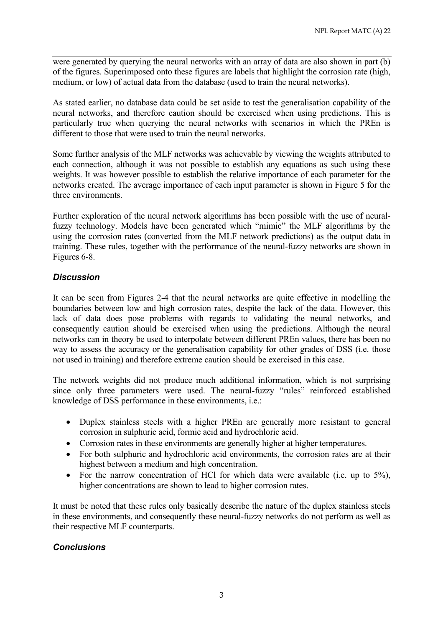were generated by querying the neural networks with an array of data are also shown in part  $(b)$ of the figures. Superimposed onto these figures are labels that highlight the corrosion rate (high, medium, or low) of actual data from the database (used to train the neural networks).

As stated earlier, no database data could be set aside to test the generalisation capability of the neural networks, and therefore caution should be exercised when using predictions. This is particularly true when querying the neural networks with scenarios in which the PREn is different to those that were used to train the neural networks.

Some further analysis of the MLF networks was achievable by viewing the weights attributed to each connection, although it was not possible to establish any equations as such using these weights. It was however possible to establish the relative importance of each parameter for the networks created. The average importance of each input parameter is shown in Figure 5 for the three environments.

Further exploration of the neural network algorithms has been possible with the use of neuralfuzzy technology. Models have been generated which "mimic" the MLF algorithms by the using the corrosion rates (converted from the MLF network predictions) as the output data in training. These rules, together with the performance of the neural-fuzzy networks are shown in Figures 6-8.

# *Discussion*

It can be seen from Figures 2-4 that the neural networks are quite effective in modelling the boundaries between low and high corrosion rates, despite the lack of the data. However, this lack of data does pose problems with regards to validating the neural networks, and consequently caution should be exercised when using the predictions. Although the neural networks can in theory be used to interpolate between different PREn values, there has been no way to assess the accuracy or the generalisation capability for other grades of DSS (i.e. those not used in training) and therefore extreme caution should be exercised in this case.

The network weights did not produce much additional information, which is not surprising since only three parameters were used. The neural-fuzzy "rules" reinforced established knowledge of DSS performance in these environments, i.e.:

- Duplex stainless steels with a higher PREn are generally more resistant to general corrosion in sulphuric acid, formic acid and hydrochloric acid.
- Corrosion rates in these environments are generally higher at higher temperatures.
- For both sulphuric and hydrochloric acid environments, the corrosion rates are at their highest between a medium and high concentration.
- For the narrow concentration of HCl for which data were available (i.e. up to  $5\%$ ), higher concentrations are shown to lead to higher corrosion rates.

It must be noted that these rules only basically describe the nature of the duplex stainless steels in these environments, and consequently these neural-fuzzy networks do not perform as well as their respective MLF counterparts.

# *Conclusions*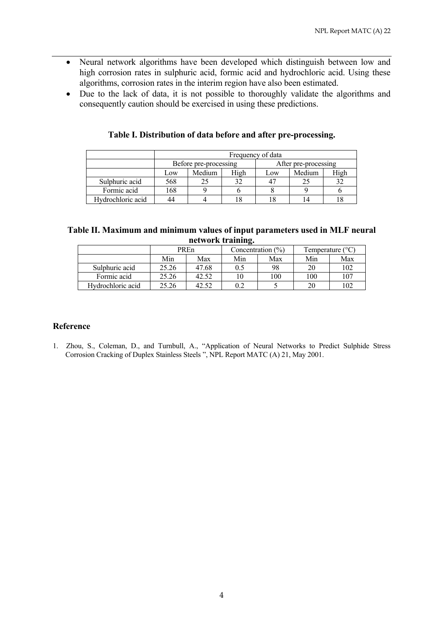- Neural network algorithms have been developed which distinguish between low and high corrosion rates in sulphuric acid, formic acid and hydrochloric acid. Using these algorithms, corrosion rates in the interim region have also been estimated.
- Due to the lack of data, it is not possible to thoroughly validate the algorithms and consequently caution should be exercised in using these predictions.

|                   | Frequency of data     |        |      |                      |        |      |  |  |
|-------------------|-----------------------|--------|------|----------------------|--------|------|--|--|
|                   | Before pre-processing |        |      | After pre-processing |        |      |  |  |
|                   | Low                   | Medium | High | Low                  | Medium | High |  |  |
| Sulphuric acid    | 568                   |        | 32   |                      | 21     | 20   |  |  |
| Formic acid       | 168                   |        |      |                      |        |      |  |  |
| Hydrochloric acid |                       |        | 8    |                      | 14     |      |  |  |

### **Table I. Distribution of data before and after pre-processing.**

| Table II. Maximum and minimum values of input parameters used in MLF neural |  |
|-----------------------------------------------------------------------------|--|
| network training.                                                           |  |

|                   | PREn  |       | -<br>Concentration $(\%)$ |     | Temperature $(^{\circ}C)$ |     |
|-------------------|-------|-------|---------------------------|-----|---------------------------|-----|
|                   | Min   | Max   | Min                       | Max | Min                       | Max |
| Sulphuric acid    | 25.26 | 47.68 | 0.5                       | 98  | 20                        | 102 |
| Formic acid       | 25.26 | 42.52 | 10                        | 100 | 100                       | 107 |
| Hydrochloric acid | 25.26 | 42.52 | 0.2                       |     | 20                        | 102 |

### **Reference**

1. Zhou, S., Coleman, D., and Turnbull, A., "Application of Neural Networks to Predict Sulphide Stress Corrosion Cracking of Duplex Stainless Steels ", NPL Report MATC (A) 21, May 2001.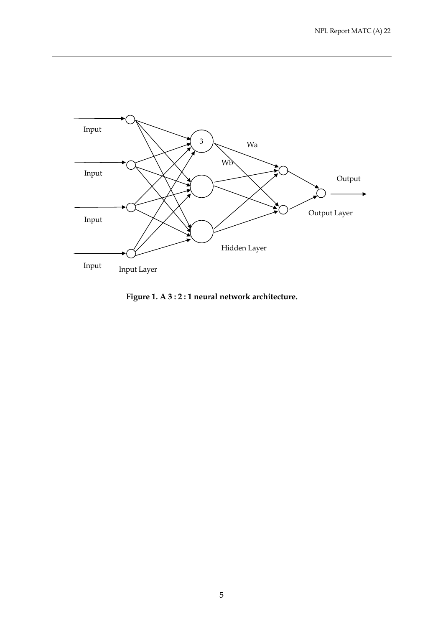

**Figure 1. A 3 : 2 : 1 neural network architecture.**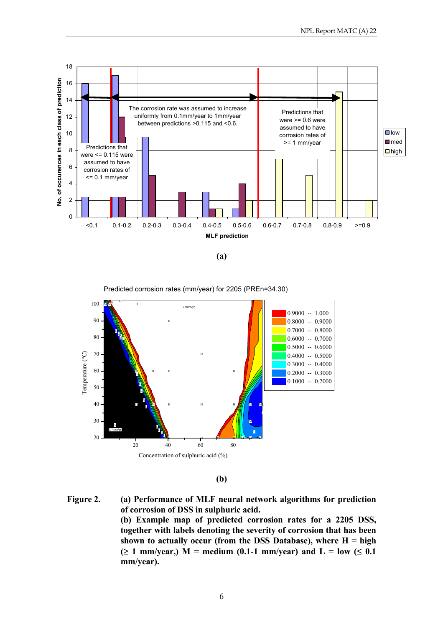

**(a)** 



**(b)** 

**Figure 2. (a) Performance of MLF neural network algorithms for prediction of corrosion of DSS in sulphuric acid. (b) Example map of predicted corrosion rates for a 2205 DSS, together with labels denoting the severity of corrosion that has been shown to actually occur (from the DSS Database), where H = high (**≥ **1 mm/year,) M = medium (0.1-1 mm/year) and L = low (**≤ **0.1 mm/year).**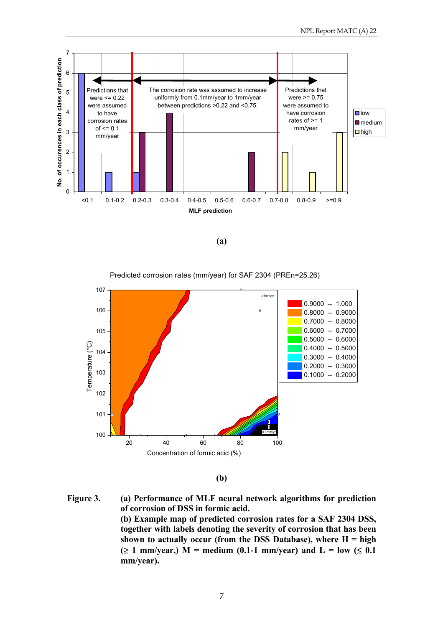

**(a)** 

107 H ≥1mm/y 0.9000 -- 1.000 106 H 0.8000 -- 0.9000 0.7000 -- 0.8000 0.6000 -- 0.7000 105 0.5000 -- 0.6000 Temperature (°C) Temperature (°C) 0.4000 -- 0.5000 104 0.3000 -- 0.4000 0.2000 -- 0.3000 103 0.1000 -- 0.2000 102 101 M M L ≤ 100 0.1mm/yr H H H 20 40 60 80 100 Concentration of formic acid (%)

Predicted corrosion rates (mm/year) for SAF 2304 (PREn=25.26)

**(b)** 

**Figure 3. (a) Performance of MLF neural network algorithms for prediction of corrosion of DSS in formic acid. (b) Example map of predicted corrosion rates for a SAF 2304 DSS, together with labels denoting the severity of corrosion that has been shown to actually occur (from the DSS Database), where H = high (**≥ **1 mm/year,) M = medium (0.1-1 mm/year) and L = low (**≤ **0.1 mm/year).**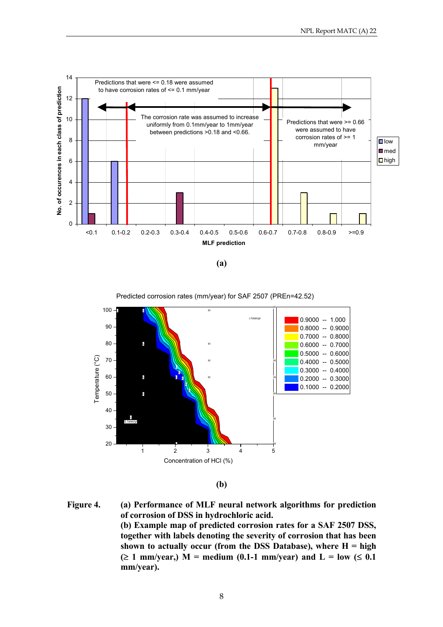

**(a)** 

Predicted corrosion rates (mm/year) for SAF 2507 (PREn=42.52)



**(b)** 

**Figure 4. (a) Performance of MLF neural network algorithms for prediction of corrosion of DSS in hydrochloric acid. (b) Example map of predicted corrosion rates for a SAF 2507 DSS, together with labels denoting the severity of corrosion that has been shown to actually occur (from the DSS Database), where H = high (**≥ **1 mm/year,) M = medium (0.1-1 mm/year) and L = low (**≤ **0.1 mm/year).**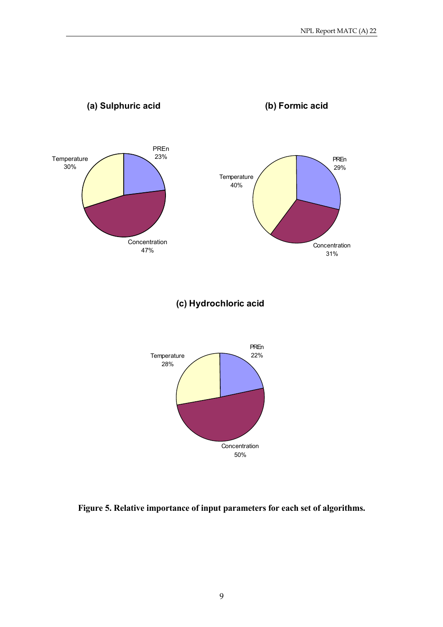

**Figure 5. Relative importance of input parameters for each set of algorithms.**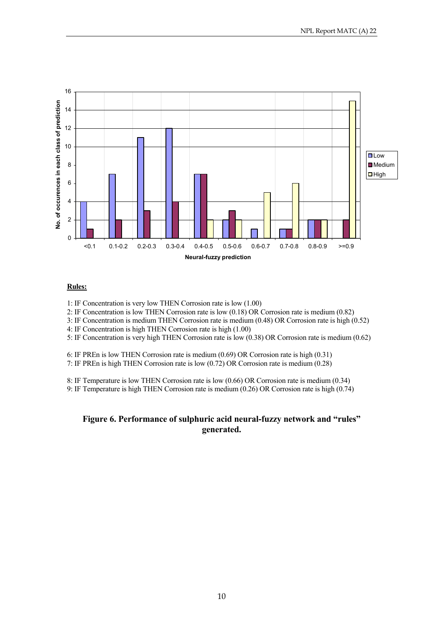

#### **Rules:**

1: IF Concentration is very low THEN Corrosion rate is low (1.00)

2: IF Concentration is low THEN Corrosion rate is low (0.18) OR Corrosion rate is medium (0.82)

3: IF Concentration is medium THEN Corrosion rate is medium (0.48) OR Corrosion rate is high (0.52)

4: IF Concentration is high THEN Corrosion rate is high (1.00)

5: IF Concentration is very high THEN Corrosion rate is low (0.38) OR Corrosion rate is medium (0.62)

6: IF PREn is low THEN Corrosion rate is medium (0.69) OR Corrosion rate is high (0.31)

7: IF PREn is high THEN Corrosion rate is low (0.72) OR Corrosion rate is medium (0.28)

8: IF Temperature is low THEN Corrosion rate is low (0.66) OR Corrosion rate is medium (0.34)

9: IF Temperature is high THEN Corrosion rate is medium (0.26) OR Corrosion rate is high (0.74)

### **Figure 6. Performance of sulphuric acid neural-fuzzy network and "rules" generated.**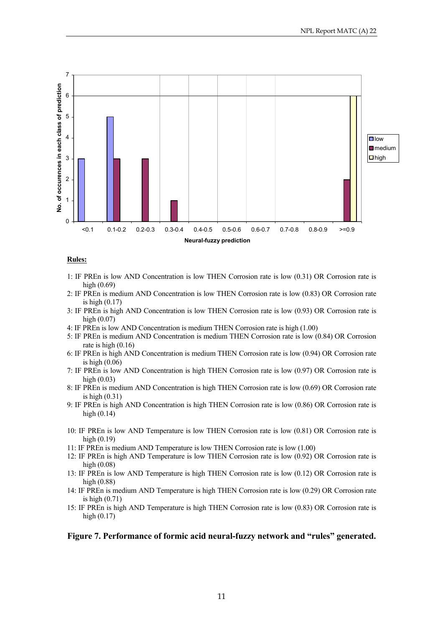

#### **Rules:**

- 1: IF PREn is low AND Concentration is low THEN Corrosion rate is low (0.31) OR Corrosion rate is high (0.69)
- 2: IF PREn is medium AND Concentration is low THEN Corrosion rate is low (0.83) OR Corrosion rate is high (0.17)
- 3: IF PREn is high AND Concentration is low THEN Corrosion rate is low (0.93) OR Corrosion rate is high (0.07)
- 4: IF PREn is low AND Concentration is medium THEN Corrosion rate is high (1.00)
- 5: IF PREn is medium AND Concentration is medium THEN Corrosion rate is low (0.84) OR Corrosion rate is high (0.16)
- 6: IF PREn is high AND Concentration is medium THEN Corrosion rate is low (0.94) OR Corrosion rate is high (0.06)
- 7: IF PREn is low AND Concentration is high THEN Corrosion rate is low (0.97) OR Corrosion rate is high (0.03)
- 8: IF PREn is medium AND Concentration is high THEN Corrosion rate is low (0.69) OR Corrosion rate is high (0.31)
- 9: IF PREn is high AND Concentration is high THEN Corrosion rate is low (0.86) OR Corrosion rate is high (0.14)
- 10: IF PREn is low AND Temperature is low THEN Corrosion rate is low (0.81) OR Corrosion rate is high (0.19)
- 11: IF PREn is medium AND Temperature is low THEN Corrosion rate is low (1.00)
- 12: IF PREn is high AND Temperature is low THEN Corrosion rate is low (0.92) OR Corrosion rate is high (0.08)
- 13: IF PREn is low AND Temperature is high THEN Corrosion rate is low (0.12) OR Corrosion rate is high (0.88)
- 14: IF PREn is medium AND Temperature is high THEN Corrosion rate is low (0.29) OR Corrosion rate is high (0.71)
- 15: IF PREn is high AND Temperature is high THEN Corrosion rate is low (0.83) OR Corrosion rate is high (0.17)

#### **Figure 7. Performance of formic acid neural-fuzzy network and "rules" generated.**